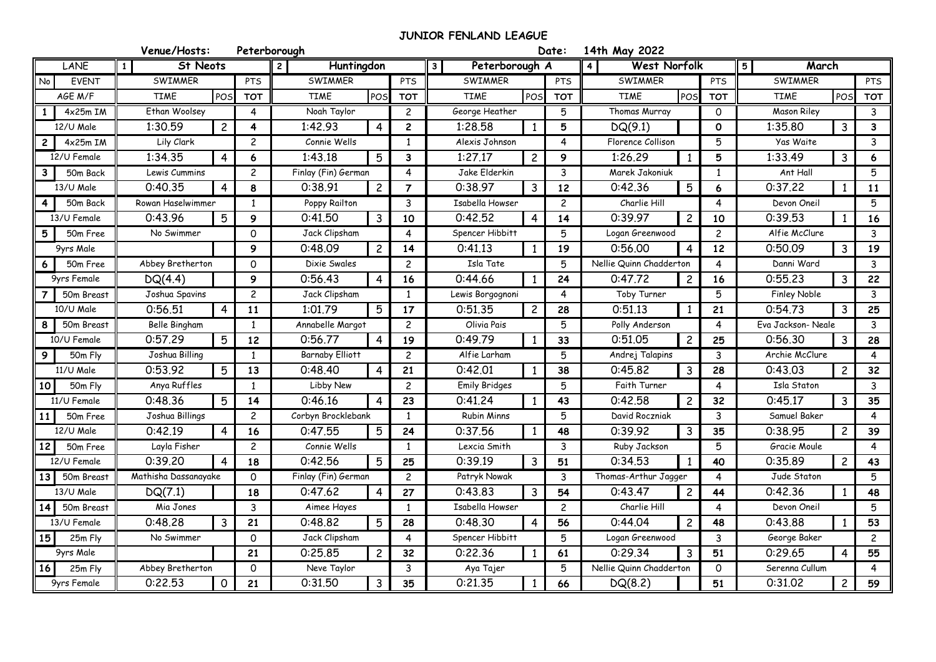## **JUNIOR FENLAND LEAGUE**

|                      | Venue/Hosts:                      |                     | Peterborough                        |                |                                | Date:          | 14th May 2022                  |                |                           |                 |
|----------------------|-----------------------------------|---------------------|-------------------------------------|----------------|--------------------------------|----------------|--------------------------------|----------------|---------------------------|-----------------|
| <b>LANE</b>          | <b>St Neots</b><br>1 <sup>1</sup> |                     | $\overline{2}$<br><b>Huntingdon</b> |                | $\mathbf{3}$<br>Peterborough A |                | West Norfolk<br>$\overline{4}$ |                | $\overline{5}$<br>March   |                 |
| <b>EVENT</b><br>No   | SWIMMER                           | <b>PTS</b>          | SWIMMER                             | PTS            | SWIMMER                        | PTS            | <b>SWIMMER</b>                 | PTS            | SWIMMER                   | PTS             |
| AGE M/F              | <b>TIME</b><br>POS                | <b>TOT</b>          | POS<br><b>TIME</b>                  | <b>TOT</b>     | POS<br><b>TIME</b>             | <b>TOT</b>     | <b>TIME</b><br>POS             | <b>TOT</b>     | POS<br><b>TIME</b>        | <b>TOT</b>      |
| $4x25m$ IM           | Ethan Woolsey                     | $\overline{4}$      | Noah Taylor                         | $\overline{c}$ | George Heather                 | 5              | Thomas Murray                  | $\circ$        | <b>Mason Riley</b>        | $\mathbf{3}$    |
| 12/U Male            | 1:30.59<br>$\overline{c}$         | $\overline{4}$      | 1:42.93<br>4                        | $\mathbf{2}$   | 1:28.58<br>$\mathbf{1}$        | 5              | DQ(9.1)                        | $\mathbf{o}$   | 1:35.80<br>$\mathbf{3}$   | $\mathbf{3}$    |
| $4x25m$ IM           | Lily Clark                        | $\overline{c}$      | Connie Wells                        | 1              | Alexis Johnson                 | 4              | Florence Collison              | 5              | Yas Waite                 | $\mathbf{3}$    |
| 12/U Female          | 1:34.35<br>4                      | 6                   | 1:43.18<br>5                        | $\mathbf{3}$   | 1:27.17<br>$\overline{c}$      | 9              | 1:26.29                        | 5              | 1:33.49<br>$\mathbf{3}$   | $6\overline{6}$ |
| 50 <sub>m</sub> Back | Lewis Cummins                     | $\overline{c}$      | Finlay (Fin) German                 | 4              | Jake Elderkin                  | 3              | Marek Jakoniuk                 | 1              | Ant Hall                  | 5               |
| 13/U Male            | 0:40.35<br>4                      | 8                   | 0:38.91<br>$\overline{c}$           | $\overline{7}$ | 0:38.97<br>$\mathbf{3}$        | 12             | 0:42.36<br>5                   | 6              | 0:37.22<br>1              | 11              |
| 50m Back             | Rowan Haselwimmer                 | $\mathbf{1}$        | Poppy Railton                       | 3              | Isabella Howser                | $\overline{c}$ | Charlie Hill                   | $\overline{4}$ | Devon Oneil               | 5               |
| 13/U Female          | 0:43.96<br>5                      | 9                   | 0:41,50<br>$\overline{3}$           | 10             | 0:42,52<br>$\overline{4}$      | 14             | 0:39.97<br>$\overline{c}$      | 10             | 0:39.53<br>$\mathbf{1}$   | 16              |
| 5<br>50m Free        | No Swimmer                        | $\mathsf{O}\xspace$ | Jack Clipsham                       | 4              | Spencer Hibbitt                | 5              | Logan Greenwood                | $\mathbf{2}$   | Alfie McClure             | $\mathbf{3}$    |
| 9yrs Male            |                                   | $\mathbf{9}$        | 0:48.09<br>$\overline{c}$           | 14             | 0:41.13<br>$\mathbf{1}$        | 19             | 0:56.00<br>4                   | 12             | $\mathbf{3}$<br>0:50.09   | 19              |
| 50m Free<br>6        | Abbey Bretherton                  | $\mathsf{O}$        | Dixie Swales                        | $\overline{c}$ | Isla Tate                      | 5              | Nellie Quinn Chadderton        | $\overline{4}$ | Danni Ward                | $\mathbf{3}$    |
| 9yrs Female          | DQ(4.4)                           | 9                   | 0:56.43<br>$\overline{4}$           | 16             | 0:44.66<br>-1                  | 24             | 0:47.72<br>$\mathbf{2}$        | 16             | 0:55.23<br>$\mathbf{3}$   | 22              |
| 50m Breast           | Joshua Spavins                    | $\overline{c}$      | Jack Clipsham                       | $\mathbf{1}$   | Lewis Borgognoni               | 4              | Toby Turner                    | 5              | Finley Noble              | $\mathbf{3}$    |
| 10/U Male            | 0:56.51<br>4                      | 11                  | 1:01.79<br>5                        | 17             | 0:51.35<br>$\overline{c}$      | 28             | 0:51.13                        | 21             | 0:54.73<br>3              | 25              |
| 50m Breast           | Belle Bingham                     | 1                   | Annabelle Margot                    | $\mathbf{2}$   | Olivia Pais                    | 5              | Polly Anderson                 | $\overline{4}$ | Eva Jackson-Neale         | 3               |
| 10/U Female          | 0:57.29<br>5                      | 12                  | 0:56.77<br>4                        | 19             | 0:49.79<br>$\mathbf{1}$        | 33             | 0:51.05<br>$\overline{c}$      | 25             | 0:56.30<br>3              | 28              |
| 50m Fly              | Joshua Billing                    | 1                   | <b>Barnaby Elliott</b>              | $\overline{c}$ | Alfie Larham                   | 5              | Andrej Talapins                | 3              | Archie McClure            | 4               |
| 11/U Male            | 0:53.92<br>5 <sup>1</sup>         | 13                  | 0:48.40<br>$\overline{4}$           | 21             | 0:42.01<br>$\mathbf{1}$        | 38             | 0:45.82<br>3                   | 28             | $\overline{c}$<br>0:43.03 | 32              |
| 50m Fly<br>10        | Anya Ruffles                      | $\mathbf{1}$        | Libby New                           | $\overline{c}$ | <b>Emily Bridges</b>           | 5              | Faith Turner                   | 4              | Isla Staton               | $\mathbf{3}$    |
| 11/U Female          | 5 <sup>1</sup><br>0:48.36         | 14                  | 0:46.16<br>$\overline{4}$           | 23             | 0:41.24<br>$\mathbf{1}$        | 43             | 0:42.58<br>$\mathbf{2}$        | 32             | 0:45.17<br>$\mathbf{3}$   | 35              |
| 50m Free             | Joshua Billings                   | $\mathbf{2}$        | Corbyn Brocklebank                  | -1             | <b>Rubin Minns</b>             | 5              | David Roczniak                 | 3              | Samuel Baker              | $\overline{4}$  |
| 12/U Male            | 0:42.19<br>4                      | 16                  | 0:47.55<br>5                        | 24             | 0:37.56<br>$\mathbf{1}$        | 48             | 0:39.92<br>3                   | 35             | $\overline{c}$<br>0:38.95 | 39              |
| 12<br>50m Free       | Layla Fisher                      | $\overline{c}$      | Connie Wells                        | 1              | Lexcia Smith                   | 3              | Ruby Jackson                   | 5              | Gracie Moule              | $\overline{4}$  |
| 12/U Female          | 0:39.20<br>$\overline{4}$         | 18                  | 0:42.56<br>5                        | 25             | $\overline{3}$<br>0:39.19      | 51             | 0:34.53                        | 40             | 0:35.89<br>$\overline{c}$ | 43              |
| 13<br>50m Breast     | Mathisha Dassanayake              | $\mathsf{o}$        | Finlay (Fin) German                 | $\overline{c}$ | Patryk Nowak                   | 3              | Thomas-Arthur Jagger           | 4              | Jude Staton               | 5               |
| 13/U Male            | DQ(7.1)                           | 18                  | 0:47.62<br>$\overline{4}$           | 27             | $\mathbf{3}$<br>0:43.83        | 54             | 0:43.47<br>$\overline{c}$      | 44             | 0:42.36<br>$\mathbf{1}$   | 48              |
| 14<br>50m Breast     | Mia Jones                         | $\mathbf{3}$        | Aimee Hayes                         | 1              | Isabella Howser                | $\overline{c}$ | Charlie Hill                   | $\overline{4}$ | Devon Oneil               | 5               |
| 13/U Female          | 0:48.28<br>3                      | 21                  | 0:48.82<br>5                        | 28             | 0:48.30<br>$\overline{4}$      | 56             | 0:44.04<br>$\overline{c}$      | 48             | 0:43.88<br>$\mathbf{1}$   | 53              |
| 15<br>25m Fly        | No Swimmer                        | $\mathsf{O}$        | Jack Clipsham                       | $\overline{4}$ | Spencer Hibbitt                | 5              | Logan Greenwood                | 3              | George Baker              | $\mathbf{2}$    |
| 9yrs Male            |                                   | 21                  | 0:25.85<br>$\overline{c}$           | 32             | 0:22.36<br>$\mathbf{1}$        | 61             | 0:29.34<br>$\overline{3}$      | 51             | 0:29.65<br>$\overline{4}$ | 55              |
| 25m Fly<br>16        | Abbey Bretherton                  | $\mathsf{O}\xspace$ | Neve Taylor                         | $\mathbf{3}$   | Aya Tajer                      | 5              | Nellie Quinn Chadderton        | $\mathsf{O}$   | Serenna Cullum            | $\overline{4}$  |
| 9yrs Female          | $\overline{0}$<br>0:22.53         | 21                  | 0:31.50<br>$\mathbf{3}$             | 35             | 0:21.35<br>$\mathbf{1}$        | 66             | DQ(8.2)                        | 51             | $\overline{2}$<br>0:31.02 | 59              |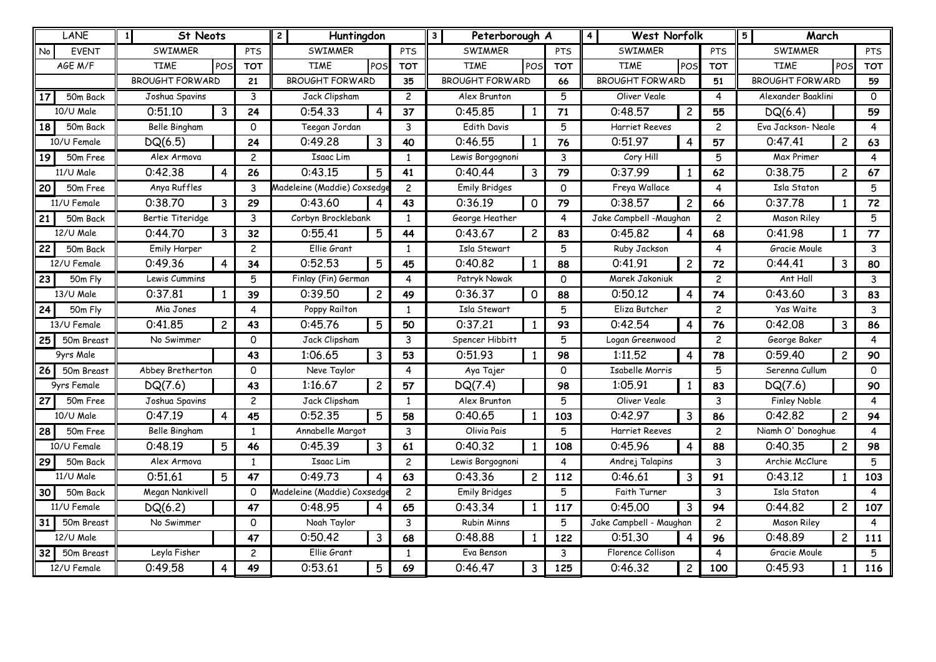| LANE               | <b>St Neots</b><br>$\vert$ 1 |                |                | $\overline{c}$<br>Huntingdon |                |                | $\mathbf{3}$<br>Peterborough A |                | <b>West Norfolk</b><br>$\overline{\mathbf{4}}$ |                                           |                | 5<br>March              |                        |                |                |
|--------------------|------------------------------|----------------|----------------|------------------------------|----------------|----------------|--------------------------------|----------------|------------------------------------------------|-------------------------------------------|----------------|-------------------------|------------------------|----------------|----------------|
| No<br><b>EVENT</b> | SWIMMER                      |                | PTS            | SWIMMER                      |                | <b>PTS</b>     | SWIMMER<br><b>PTS</b>          |                |                                                | SWIMMER                                   |                | <b>PTS</b>              | SWIMMER                |                | PTS            |
| AGE M/F            | <b>TIME</b>                  | POS            | <b>TOT</b>     | <b>TIME</b>                  | POS            | <b>TOT</b>     | <b>TIME</b>                    | POS            | <b>TOT</b>                                     | <b>TIME</b>                               | POS            | <b>TOT</b>              | <b>TIME</b>            | POS            | <b>TOT</b>     |
|                    | <b>BROUGHT FORWARD</b>       |                | 21             | <b>BROUGHT FORWARD</b>       |                | 35             | <b>BROUGHT FORWARD</b>         |                | 66                                             | <b>BROUGHT FORWARD</b>                    |                | 51                      | <b>BROUGHT FORWARD</b> |                | 59             |
| 17<br>50m Back     | Joshua Spavins               |                | $\mathbf{3}$   | Jack Clipsham                |                | $\overline{c}$ | Alex Brunton<br>5              |                | Oliver Veale                                   |                                           | 4              | Alexander Baaklini      |                        | $\Omega$       |                |
| 10/U Male          | 0:51.10                      | $\overline{3}$ | 24             | 0:54.33                      | 4              | 37             | 0:45.85                        | 1              | 71                                             | 0:48.57                                   | $\overline{c}$ |                         | DQ(6.4)                |                | 59             |
| 18 I<br>50m Back   | Belle Bingham                |                | $\mathsf{O}$   | Teegan Jordan                |                | 3              | Edith Davis<br>5               |                | <b>Harriet Reeves</b>                          |                                           | $\overline{c}$ | Eva Jackson-Neale       |                        | $\overline{4}$ |                |
| 10/U Female        | DQ(6.5)                      |                | 24             | 0:49.28                      | 3              | 40             | 0:46.55                        | $\mathbf{1}$   | 76                                             | 0:51.97                                   | 4              | 57                      | 0:47.41                | $\overline{c}$ | 63             |
| 19<br>50m Free     | Alex Armova                  |                | $\overline{c}$ | Isaac Lim                    |                | 1              | Lewis Borgognoni<br>3          |                | Cory Hill                                      |                                           | 5              | Max Primer              |                        | 4              |                |
| 11/U Male          | 0:42.38                      | 4              | 26             | 0:43.15                      | 5              | 41             | 0:40.44                        | $\overline{3}$ | 79                                             | 0:37.99                                   | 1              | 62                      | 0:38.75                | $\overline{c}$ | 67             |
| 20<br>50m Free     | Anya Ruffles                 |                | 3              | Madeleine (Maddie) Coxsedge  |                | $\overline{c}$ | <b>Emily Bridges</b>           |                | 0                                              | Freya Wallace                             |                | 4                       | <b>Isla Staton</b>     |                | 5              |
| 11/U Female        | 0:38.70                      | 3              | 29             | 0:43.60                      | 4              | 43             | 0:36.19                        | $\mathbf 0$    | 79                                             | 0:38.57                                   | $\overline{c}$ | 66                      | 0:37.78                | 1              | 72             |
| 21<br>50m Back     | Bertie Titeridge             |                | 3              | Corbyn Brocklebank           |                | 1              | 4<br>George Heather            |                |                                                | Jake Campbell -Maughan                    |                | $\overline{\mathbf{c}}$ | Mason Riley            |                | 5              |
| 12/U Male          | 0:44.70                      | $\overline{3}$ | 32             | 0:55.41                      | 5              | 44             | 0:43.67                        | $\overline{c}$ | 83                                             | 0:45.82                                   | 4              | 68                      | 0:41.98                | 1              | 77             |
| 50m Back<br>22     | Emily Harper                 |                | $\overline{c}$ | Ellie Grant                  |                | 1              | Isla Stewart                   | 5              |                                                | Ruby Jackson                              | 4              |                         | Gracie Moule           |                | $\mathbf{3}$   |
| 12/U Female        | 0:49.36                      | $\overline{4}$ | 34             | 0:52.53                      | 5              | 45             | 0:40.82                        | 1              | 88                                             | 0:41.91                                   | $\overline{c}$ | 72                      | 0:44.41                | 3              | 80             |
| 23<br>50m Fly      | Lewis Cummins                |                | 5              | Finlay (Fin) German          |                | 4              | Patryk Nowak                   |                | $\Omega$                                       | Marek Jakoniuk<br>$\overline{c}$          |                | Ant Hall                |                        | 3              |                |
| 13/U Male          | 0:37.81                      | $\mathbf{1}$   | 39             | 0:39.50                      | $\overline{c}$ | 49             | 0:36.37                        | 0              | 88                                             | 0:50.12                                   | 4              | 74                      | 0:43.60                | 3              | 83             |
| 24<br>50m Fly      | Mia Jones                    |                | $\overline{4}$ | Poppy Railton                |                | $\mathbf{1}$   | Isla Stewart                   |                | 5                                              | Eliza Butcher                             |                | $\overline{c}$          | Yas Waite              |                | 3              |
| 13/U Female        | 0:41.85                      | $\overline{c}$ | 43             | 0:45.76                      | 5.             | 50             | 0:37.21                        | 1              | 93                                             | 0:42.54                                   | 4              | 76                      | 0:42.08                | 3              | 86             |
| 25<br>50m Breast   | No Swimmer                   |                | 0              | Jack Clipsham                |                | 3              | Spencer Hibbitt                |                | 5                                              | Logan Greenwood                           |                | $\overline{c}$          | George Baker           |                | $\overline{4}$ |
| 9yrs Male          |                              |                | 43             | 1:06.65                      | 3              | 53             | 0:51.93                        | 1              | 98                                             | 1:11,52                                   | 4              | 78                      | 0:59.40                | $\overline{c}$ | 90             |
| 26<br>50m Breast   | Abbey Bretherton             |                | $\Omega$       | Neve Taylor                  |                | 4              | Aya Tajer                      |                | $\mathsf{O}$                                   | <b>Isabelle Morris</b><br>5               |                |                         | Serenna Cullum         |                | $\mathsf{O}$   |
| <b>9yrs Female</b> | DQ(7.6)                      |                | 43             | 1:16.67                      | $\overline{2}$ | 57             | DQ(7.4)                        |                | 98                                             | 1:05.91                                   | $\mathbf{1}$   | 83                      | DQ(7.6)                |                | 90             |
| 27<br>50m Free     | Joshua Spavins               |                | $\overline{c}$ | Jack Clipsham                |                | $\mathbf{1}$   | Alex Brunton                   |                | 5                                              | Oliver Veale                              |                | 3                       | <b>Finley Noble</b>    |                | $\overline{4}$ |
| 10/U Male          | 0:47.19                      | $\overline{4}$ | 45             | 0:52.35                      | 5              | 58             | 0:40.65                        | -1             | 103                                            | 0:42.97                                   | 3              | 86                      | 0:42.82                | $\overline{c}$ | 94             |
| 28<br>50m Free     | Belle Bingham                |                | 1              | Annabelle Margot             |                | 3              | Olivia Pais                    |                | 5                                              | <b>Harriet Reeves</b>                     |                | $\overline{c}$          | Niamh O' Donoghue      |                | $\overline{4}$ |
| 10/U Female        | 0:48.19                      | 5              | 46             | 0:45.39                      | 3              | 61             | 0:40.32                        | 1              | 108                                            | 0:45.96                                   | 4              | 88                      | 0:40.35                | $\overline{c}$ | 98             |
| 29<br>50m Back     | Alex Armova                  |                | $\mathbf{1}$   | Isaac Lim                    |                | $\overline{c}$ | Lewis Borgognoni               |                | 4                                              | Andrej Talapins                           |                | 3                       | Archie McClure         |                | 5              |
| 11/U Male          | 0:51.61                      | 5              | 47             | 0:49.73                      | 4              | 63             | 0:43.36                        | $\overline{c}$ | 112                                            | 0:46.61                                   | 3              | 91                      | 0:43.12                | 1              | 103            |
| 30<br>50m Back     | Megan Nankivell              |                | $\Omega$       | Madeleine (Maddie) Coxsedge  |                | $\overline{c}$ | <b>Emily Bridges</b>           |                | 5                                              | Faith Turner                              |                | 3                       | <b>Isla Staton</b>     |                | 4              |
| 11/U Female        | DQ(6.2)                      |                | 47             | 0:48.95                      | 4              | 65             | 0:43.34                        | 1              | 117                                            | 0:45.00                                   | 3              | 94                      | 0:44.82                | $\overline{c}$ | 107            |
| 31 I<br>50m Breast | No Swimmer                   |                | 0              | Noah Taylor                  |                | 3              | <b>Rubin Minns</b>             |                | 5                                              | Jake Campbell - Maughan<br>$\overline{c}$ |                |                         | Mason Riley            |                | $\overline{4}$ |
| $12$ /U Male       |                              |                | 47             | 0:50.42                      | 3              | 68             | 0:48.88                        | $\mathbf{1}$   | 122                                            | 0:51.30                                   | 4              | 96                      | 0:48.89                | $\overline{c}$ | 111            |
| 32<br>50m Breast   | Leyla Fisher                 |                | $\overline{c}$ | Ellie Grant                  |                | 1              | Eva Benson                     |                | 3                                              | Florence Collison<br>4                    |                | Gracie Moule            |                        | 5              |                |
| 12/U Female        | 0:49.58                      | $\overline{4}$ | 49             | 0:53.61                      | 5              | 69             | 0:46.47                        | $\overline{3}$ | 125                                            | 0:46.32                                   | $\overline{c}$ | 100                     | 0:45.93                | $\mathbf{1}$   | 116            |